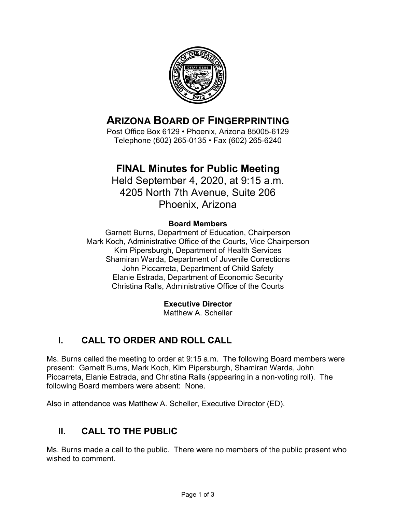

# **ARIZONA BOARD OF FINGERPRINTING**

Post Office Box 6129 • Phoenix, Arizona 85005-6129 Telephone (602) 265-0135 • Fax (602) 265-6240

# **FINAL Minutes for Public Meeting**

Held September 4, 2020, at 9:15 a.m. 4205 North 7th Avenue, Suite 206 Phoenix, Arizona

#### **Board Members**

Garnett Burns, Department of Education, Chairperson Mark Koch, Administrative Office of the Courts, Vice Chairperson Kim Pipersburgh, Department of Health Services Shamiran Warda, Department of Juvenile Corrections John Piccarreta, Department of Child Safety Elanie Estrada, Department of Economic Security Christina Ralls, Administrative Office of the Courts

**Executive Director**

Matthew A. Scheller

# **I. CALL TO ORDER AND ROLL CALL**

Ms. Burns called the meeting to order at 9:15 a.m. The following Board members were present: Garnett Burns, Mark Koch, Kim Pipersburgh, Shamiran Warda, John Piccarreta, Elanie Estrada, and Christina Ralls (appearing in a non-voting roll). The following Board members were absent: None.

Also in attendance was Matthew A. Scheller, Executive Director (ED).

### **II. CALL TO THE PUBLIC**

Ms. Burns made a call to the public. There were no members of the public present who wished to comment.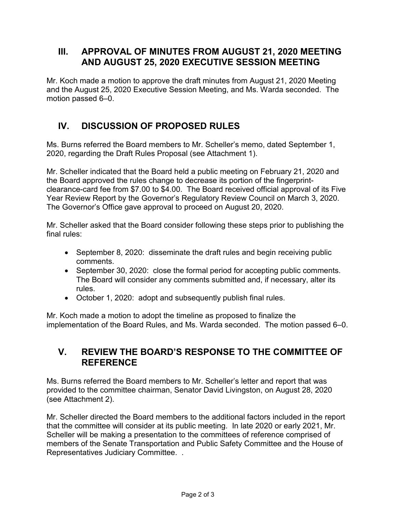### **III. APPROVAL OF MINUTES FROM AUGUST 21, 2020 MEETING AND AUGUST 25, 2020 EXECUTIVE SESSION MEETING**

Mr. Koch made a motion to approve the draft minutes from August 21, 2020 Meeting and the August 25, 2020 Executive Session Meeting, and Ms. Warda seconded. The motion passed 6–0.

### **IV. DISCUSSION OF PROPOSED RULES**

Ms. Burns referred the Board members to Mr. Scheller's memo, dated September 1, 2020, regarding the Draft Rules Proposal (see Attachment 1).

Mr. Scheller indicated that the Board held a public meeting on February 21, 2020 and the Board approved the rules change to decrease its portion of the fingerprintclearance-card fee from \$7.00 to \$4.00. The Board received official approval of its Five Year Review Report by the Governor's Regulatory Review Council on March 3, 2020. The Governor's Office gave approval to proceed on August 20, 2020.

Mr. Scheller asked that the Board consider following these steps prior to publishing the final rules:

- September 8, 2020: disseminate the draft rules and begin receiving public comments.
- September 30, 2020: close the formal period for accepting public comments. The Board will consider any comments submitted and, if necessary, alter its rules.
- October 1, 2020: adopt and subsequently publish final rules.

Mr. Koch made a motion to adopt the timeline as proposed to finalize the implementation of the Board Rules, and Ms. Warda seconded. The motion passed 6–0.

### **V. REVIEW THE BOARD'S RESPONSE TO THE COMMITTEE OF REFERENCE**

Ms. Burns referred the Board members to Mr. Scheller's letter and report that was provided to the committee chairman, Senator David Livingston, on August 28, 2020 (see Attachment 2).

Mr. Scheller directed the Board members to the additional factors included in the report that the committee will consider at its public meeting. In late 2020 or early 2021, Mr. Scheller will be making a presentation to the committees of reference comprised of members of the Senate Transportation and Public Safety Committee and the House of Representatives Judiciary Committee. .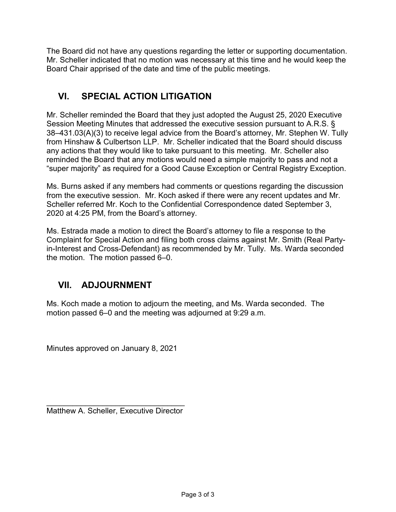The Board did not have any questions regarding the letter or supporting documentation. Mr. Scheller indicated that no motion was necessary at this time and he would keep the Board Chair apprised of the date and time of the public meetings.

### **VI. SPECIAL ACTION LITIGATION**

Mr. Scheller reminded the Board that they just adopted the August 25, 2020 Executive Session Meeting Minutes that addressed the executive session pursuant to A.R.S. § 38–431.03(A)(3) to receive legal advice from the Board's attorney, Mr. Stephen W. Tully from Hinshaw & Culbertson LLP. Mr. Scheller indicated that the Board should discuss any actions that they would like to take pursuant to this meeting. Mr. Scheller also reminded the Board that any motions would need a simple majority to pass and not a "super majority" as required for a Good Cause Exception or Central Registry Exception.

Ms. Burns asked if any members had comments or questions regarding the discussion from the executive session. Mr. Koch asked if there were any recent updates and Mr. Scheller referred Mr. Koch to the Confidential Correspondence dated September 3, 2020 at 4:25 PM, from the Board's attorney.

Ms. Estrada made a motion to direct the Board's attorney to file a response to the Complaint for Special Action and filing both cross claims against Mr. Smith (Real Partyin-Interest and Cross-Defendant) as recommended by Mr. Tully. Ms. Warda seconded the motion. The motion passed 6–0.

### **VII. ADJOURNMENT**

Ms. Koch made a motion to adjourn the meeting, and Ms. Warda seconded. The motion passed 6–0 and the meeting was adjourned at 9:29 a.m.

Minutes approved on January 8, 2021

\_\_\_\_\_\_\_\_\_\_\_\_\_\_\_\_\_\_\_\_\_\_\_\_\_\_\_\_\_\_\_\_ Matthew A. Scheller, Executive Director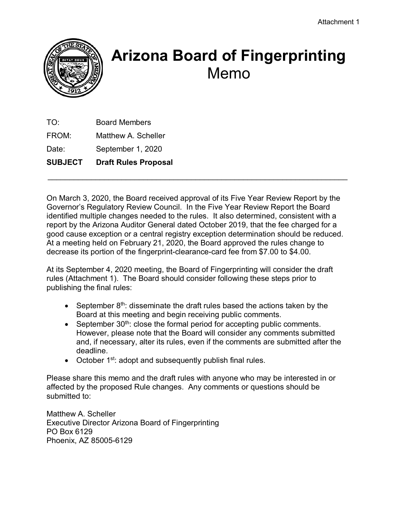

# **Arizona Board of Fingerprinting** Memo

TO: Board Members FROM: Matthew A. Scheller Date: September 1, 2020 **SUBJECT Draft Rules Proposal**

On March 3, 2020, the Board received approval of its Five Year Review Report by the Governor's Regulatory Review Council. In the Five Year Review Report the Board identified multiple changes needed to the rules. It also determined, consistent with a report by the Arizona Auditor General dated October 2019, that the fee charged for a good cause exception or a central registry exception determination should be reduced. At a meeting held on February 21, 2020, the Board approved the rules change to decrease its portion of the fingerprint-clearance-card fee from \$7.00 to \$4.00.

\_\_\_\_\_\_\_\_\_\_\_\_\_\_\_\_\_\_\_\_\_\_\_\_\_\_\_\_\_\_\_\_\_\_\_\_\_\_\_\_\_\_\_\_\_\_\_\_\_\_\_\_\_\_\_\_\_\_\_\_\_\_\_\_\_\_\_\_\_

At its September 4, 2020 meeting, the Board of Fingerprinting will consider the draft rules (Attachment 1). The Board should consider following these steps prior to publishing the final rules:

- September  $8<sup>th</sup>$ : disseminate the draft rules based the actions taken by the Board at this meeting and begin receiving public comments.
- September  $30<sup>th</sup>$ : close the formal period for accepting public comments. However, please note that the Board will consider any comments submitted and, if necessary, alter its rules, even if the comments are submitted after the deadline.
- October 1<sup>st</sup>: adopt and subsequently publish final rules.

Please share this memo and the draft rules with anyone who may be interested in or affected by the proposed Rule changes. Any comments or questions should be submitted to:

Matthew A. Scheller Executive Director Arizona Board of Fingerprinting PO Box 6129 Phoenix, AZ 85005-6129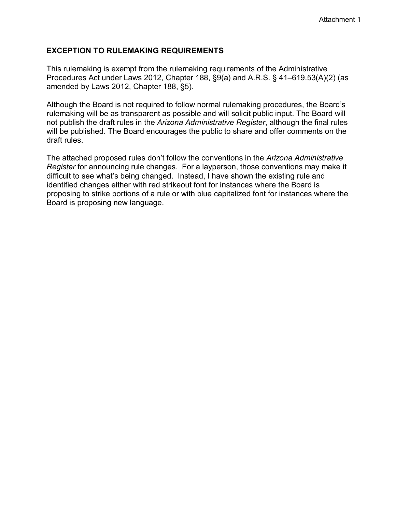#### **EXCEPTION TO RULEMAKING REQUIREMENTS**

This rulemaking is exempt from the rulemaking requirements of the Administrative Procedures Act under Laws 2012, Chapter 188, §9(a) and A.R.S. § 41–619.53(A)(2) (as amended by Laws 2012, Chapter 188, §5).

Although the Board is not required to follow normal rulemaking procedures, the Board's rulemaking will be as transparent as possible and will solicit public input. The Board will not publish the draft rules in the *Arizona Administrative Register*, although the final rules will be published. The Board encourages the public to share and offer comments on the draft rules.

The attached proposed rules don't follow the conventions in the *Arizona Administrative Register* for announcing rule changes. For a layperson, those conventions may make it difficult to see what's being changed. Instead, I have shown the existing rule and identified changes either with red strikeout font for instances where the Board is proposing to strike portions of a rule or with blue capitalized font for instances where the Board is proposing new language.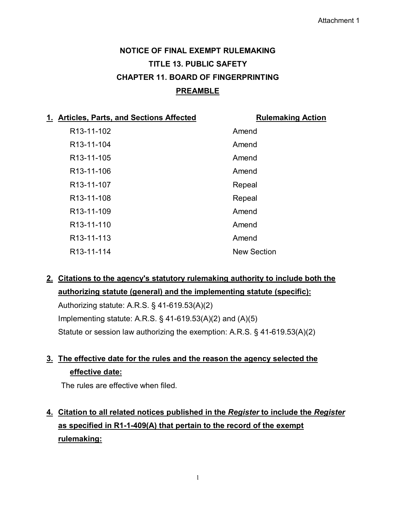# **NOTICE OF FINAL EXEMPT RULEMAKING TITLE 13. PUBLIC SAFETY CHAPTER 11. BOARD OF FINGERPRINTING PREAMBLE**

| 1. Articles, Parts, and Sections Affected | <b>Rulemaking Action</b> |
|-------------------------------------------|--------------------------|
| R <sub>13</sub> -11-102                   | Amend                    |
| R <sub>13</sub> -11-104                   | Amend                    |
| R <sub>13</sub> -11-105                   | Amend                    |
| R <sub>13</sub> -11-106                   | Amend                    |
| R <sub>13</sub> -11-107                   | Repeal                   |
| R <sub>13</sub> -11-108                   | Repeal                   |
| R <sub>13</sub> -11-109                   | Amend                    |
| R <sub>13</sub> -11-110                   | Amend                    |
| R <sub>13</sub> -11-113                   | Amend                    |
| R <sub>13</sub> -11-114                   | <b>New Section</b>       |

**2. Citations to the agency's statutory rulemaking authority to include both the authorizing statute (general) and the implementing statute (specific):**

Authorizing statute: A.R.S. § 41-619.53(A)(2) Implementing statute: A.R.S. § 41-619.53(A)(2) and (A)(5) Statute or session law authorizing the exemption: A.R.S. § 41-619.53(A)(2)

### **3. The effective date for the rules and the reason the agency selected the effective date:**

The rules are effective when filed.

**4. Citation to all related notices published in the** *Register* **to include the** *Register* **as specified in R1-1-409(A) that pertain to the record of the exempt rulemaking:**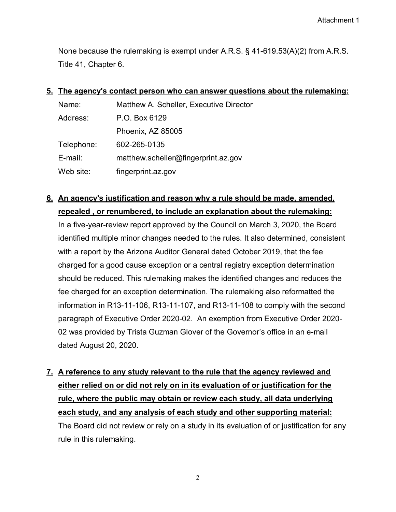None because the rulemaking is exempt under A.R.S. § 41-619.53(A)(2) from A.R.S. Title 41, Chapter 6.

# **5. The agency's contact person who can answer questions about the rulemaking:** Name: Matthew A. Scheller, Executive Director Address: P.O. Box 6129 Phoenix, AZ 85005 Telephone: 602-265-0135 E-mail: matthew.scheller@fingerprint.az.gov Web site: fingerprint.az.gov

### **6. An agency's justification and reason why a rule should be made, amended, repealed , or renumbered, to include an explanation about the rulemaking:**

In a five-year-review report approved by the Council on March 3, 2020, the Board identified multiple minor changes needed to the rules. It also determined, consistent with a report by the Arizona Auditor General dated October 2019, that the fee charged for a good cause exception or a central registry exception determination should be reduced. This rulemaking makes the identified changes and reduces the fee charged for an exception determination. The rulemaking also reformatted the information in R13-11-106, R13-11-107, and R13-11-108 to comply with the second paragraph of Executive Order 2020-02. An exemption from Executive Order 2020- 02 was provided by Trista Guzman Glover of the Governor's office in an e-mail dated August 20, 2020.

# **7. A reference to any study relevant to the rule that the agency reviewed and either relied on or did not rely on in its evaluation of or justification for the rule, where the public may obtain or review each study, all data underlying each study, and any analysis of each study and other supporting material:** The Board did not review or rely on a study in its evaluation of or justification for any

rule in this rulemaking.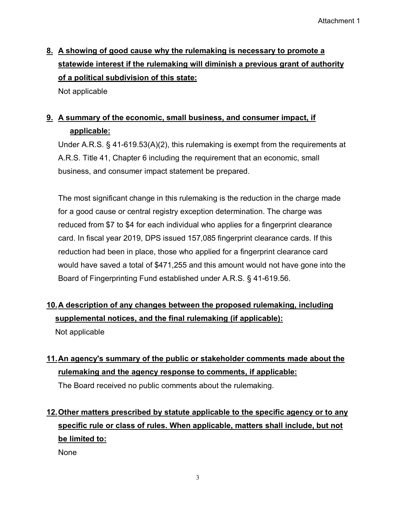# **8. A showing of good cause why the rulemaking is necessary to promote a statewide interest if the rulemaking will diminish a previous grant of authority of a political subdivision of this state:**

Not applicable

# **9. A summary of the economic, small business, and consumer impact, if applicable:**

Under A.R.S. § 41-619.53(A)(2), this rulemaking is exempt from the requirements at A.R.S. Title 41, Chapter 6 including the requirement that an economic, small business, and consumer impact statement be prepared.

The most significant change in this rulemaking is the reduction in the charge made for a good cause or central registry exception determination. The charge was reduced from \$7 to \$4 for each individual who applies for a fingerprint clearance card. In fiscal year 2019, DPS issued 157,085 fingerprint clearance cards. If this reduction had been in place, those who applied for a fingerprint clearance card would have saved a total of \$471,255 and this amount would not have gone into the Board of Fingerprinting Fund established under A.R.S. § 41-619.56.

### **10.A description of any changes between the proposed rulemaking, including supplemental notices, and the final rulemaking (if applicable):**

Not applicable

# **11. An agency's summary of the public or stakeholder comments made about the rulemaking and the agency response to comments, if applicable:**

The Board received no public comments about the rulemaking.

# **12.Other matters prescribed by statute applicable to the specific agency or to any specific rule or class of rules. When applicable, matters shall include, but not be limited to:**

None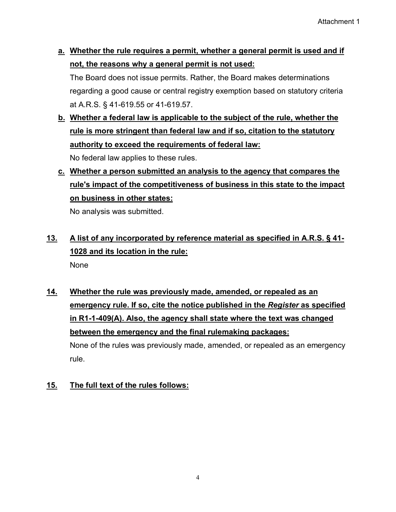**a. Whether the rule requires a permit, whether a general permit is used and if not, the reasons why a general permit is not used:**

The Board does not issue permits. Rather, the Board makes determinations regarding a good cause or central registry exemption based on statutory criteria at A.R.S. § 41-619.55 or 41-619.57.

**b. Whether a federal law is applicable to the subject of the rule, whether the rule is more stringent than federal law and if so, citation to the statutory authority to exceed the requirements of federal law:**

No federal law applies to these rules.

# **c. Whether a person submitted an analysis to the agency that compares the rule's impact of the competitiveness of business in this state to the impact on business in other states:**

No analysis was submitted.

## **13. A list of any incorporated by reference material as specified in A.R.S. § 41- 1028 and its location in the rule:** None

# **14. Whether the rule was previously made, amended, or repealed as an emergency rule. If so, cite the notice published in the** *Register* **as specified in R1-1-409(A). Also, the agency shall state where the text was changed between the emergency and the final rulemaking packages:**

None of the rules was previously made, amended, or repealed as an emergency rule.

#### **15. The full text of the rules follows:**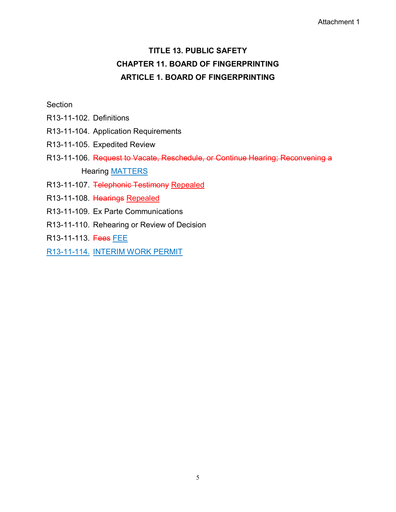#### Attachment 1

# **TITLE 13. PUBLIC SAFETY CHAPTER 11. BOARD OF FINGERPRINTING ARTICLE 1. BOARD OF FINGERPRINTING**

#### **Section**

- R13-11-102. Definitions
- R13-11-104. Application Requirements
- R13-11-105. Expedited Review
- R13-11-106. Request to Vacate, Reschedule, or Continue Hearing; Reconvening a Hearing MATTERS
- R13-11-107. Telephonic Testimony Repealed
- R13-11-108. Hearings Repealed
- R13-11-109. Ex Parte Communications
- R13-11-110. Rehearing or Review of Decision
- R13-11-113. Fees FEE
- R13-11-114. INTERIM WORK PERMIT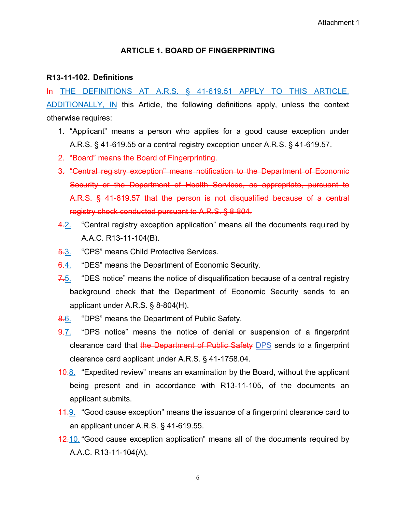#### **ARTICLE 1. BOARD OF FINGERPRINTING**

#### **R13-11-102. Definitions**

In THE DEFINITIONS AT A.R.S. § 41-619.51 APPLY TO THIS ARTICLE. ADDITIONALLY, IN this Article, the following definitions apply, unless the context otherwise requires:

- 1. "Applicant" means a person who applies for a good cause exception under A.R.S. § 41-619.55 or a central registry exception under A.R.S. § 41-619.57.
- 2. "Board" means the Board of Fingerprinting.
- 3. "Central registry exception" means notification to the Department of Economic Security or the Department of Health Services, as appropriate, pursuant to A.R.S. § 41-619.57 that the person is not disqualified because of a central registry check conducted pursuant to A.R.S. § 8-804.
- 4.2. "Central registry exception application" means all the documents required by A.A.C. R13-11-104(B).
- 5.3. "CPS" means Child Protective Services.
- 6.4. "DES" means the Department of Economic Security.
- $7.5$ . "DES notice" means the notice of disqualification because of a central registry background check that the Department of Economic Security sends to an applicant under A.R.S. § 8-804(H).
- 8.6. "DPS" means the Department of Public Safety.
- 9.7. "DPS notice" means the notice of denial or suspension of a fingerprint clearance card that the Department of Public Safety DPS sends to a fingerprint clearance card applicant under A.R.S. § 41-1758.04.
- **10.8.** "Expedited review" means an examination by the Board, without the applicant being present and in accordance with R13-11-105, of the documents an applicant submits.
- **11.9.** "Good cause exception" means the issuance of a fingerprint clearance card to an applicant under A.R.S. § 41-619.55.
- **12.10.** "Good cause exception application" means all of the documents required by A.A.C. R13-11-104(A).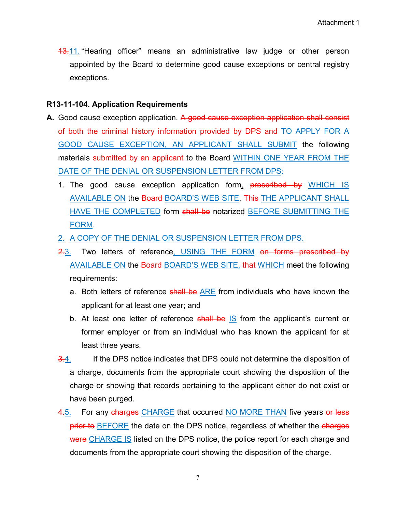**13.11.** "Hearing officer" means an administrative law judge or other person appointed by the Board to determine good cause exceptions or central registry exceptions.

#### **R13-11-104. Application Requirements**

- **A.** Good cause exception application. A good cause exception application shall consist of both the criminal history information provided by DPS and TO APPLY FOR A GOOD CAUSE EXCEPTION, AN APPLICANT SHALL SUBMIT the following materials submitted by an applicant to the Board WITHIN ONE YEAR FROM THE DATE OF THE DENIAL OR SUSPENSION LETTER FROM DPS:
	- 1. The good cause exception application form, **prescribed by** WHICH IS AVAILABLE ON the Board BOARD'S WEB SITE. This THE APPLICANT SHALL HAVE THE COMPLETED form shall be notarized BEFORE SUBMITTING THE FORM.
	- 2. A COPY OF THE DENIAL OR SUSPENSION LETTER FROM DPS.
	- 2.3. Two letters of reference, USING THE FORM on forms prescribed by AVAILABLE ON the Board BOARD'S WEB SITE, that WHICH meet the following requirements:
		- a. Both letters of reference shall be ARE from individuals who have known the applicant for at least one year; and
		- b. At least one letter of reference shall be IS from the applicant's current or former employer or from an individual who has known the applicant for at least three years.
	- 3.4. If the DPS notice indicates that DPS could not determine the disposition of a charge, documents from the appropriate court showing the disposition of the charge or showing that records pertaining to the applicant either do not exist or have been purged.
	- 4.5. For any charges CHARGE that occurred NO MORE THAN five years or less prior to BEFORE the date on the DPS notice, regardless of whether the charges were CHARGE IS listed on the DPS notice, the police report for each charge and documents from the appropriate court showing the disposition of the charge.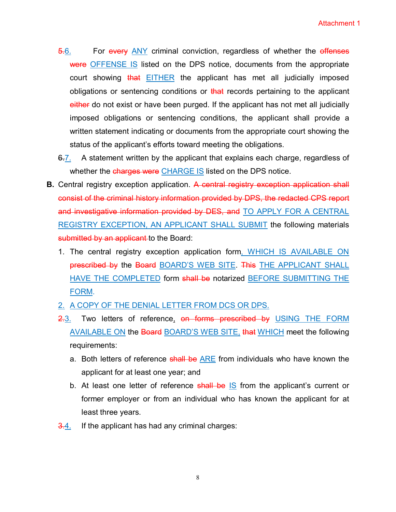- 5.6. For every ANY criminal conviction, regardless of whether the effenses were OFFENSE IS listed on the DPS notice, documents from the appropriate court showing that **EITHER** the applicant has met all judicially imposed obligations or sentencing conditions or that records pertaining to the applicant either do not exist or have been purged. If the applicant has not met all judicially imposed obligations or sentencing conditions, the applicant shall provide a written statement indicating or documents from the appropriate court showing the status of the applicant's efforts toward meeting the obligations.
- 6.7. A statement written by the applicant that explains each charge, regardless of whether the charges were CHARGE IS listed on the DPS notice.
- **B.** Central registry exception application. A central registry exception application shall consist of the criminal history information provided by DPS, the redacted CPS report and investigative information provided by DES, and TO APPLY FOR A CENTRAL REGISTRY EXCEPTION, AN APPLICANT SHALL SUBMIT the following materials submitted by an applicant to the Board:
	- 1. The central registry exception application form, WHICH IS AVAILABLE ON prescribed by the Board BOARD'S WEB SITE. This THE APPLICANT SHALL HAVE THE COMPLETED form shall be notarized BEFORE SUBMITTING THE FORM.
	- 2. A COPY OF THE DENIAL LETTER FROM DCS OR DPS.
	- 2.3. Two letters of reference, on forms prescribed by USING THE FORM AVAILABLE ON the Board BOARD'S WEB SITE, that WHICH meet the following requirements:
		- a. Both letters of reference shall be ARE from individuals who have known the applicant for at least one year; and
		- b. At least one letter of reference shall be IS from the applicant's current or former employer or from an individual who has known the applicant for at least three years.
	- **3.4.** If the applicant has had any criminal charges: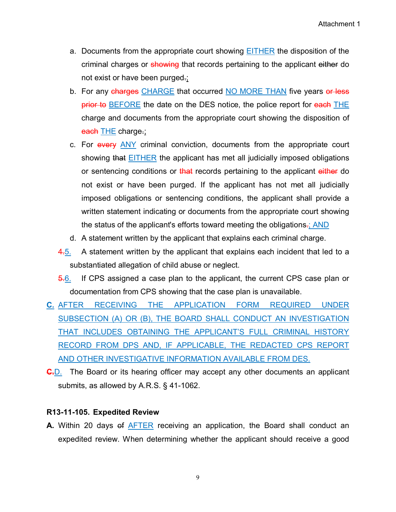- a. Documents from the appropriate court showing EITHER the disposition of the criminal charges or showing that records pertaining to the applicant either do not exist or have been purged.;
- b. For any charges CHARGE that occurred NO MORE THAN five years or less prior to BEFORE the date on the DES notice, the police report for each THE charge and documents from the appropriate court showing the disposition of each **THE** charge.;
- c. For every ANY criminal conviction, documents from the appropriate court showing that EITHER the applicant has met all judicially imposed obligations or sentencing conditions or that records pertaining to the applicant either do not exist or have been purged. If the applicant has not met all judicially imposed obligations or sentencing conditions, the applicant shall provide a written statement indicating or documents from the appropriate court showing the status of the applicant's efforts toward meeting the obligations.; AND
- d. A statement written by the applicant that explains each criminal charge.
- 4.5. A statement written by the applicant that explains each incident that led to a substantiated allegation of child abuse or neglect.
- 5.6. If CPS assigned a case plan to the applicant, the current CPS case plan or documentation from CPS showing that the case plan is unavailable.
- **C.** AFTER RECEIVING THE APPLICATION FORM REQUIRED UNDER SUBSECTION (A) OR (B), THE BOARD SHALL CONDUCT AN INVESTIGATION THAT INCLUDES OBTAINING THE APPLICANT'S FULL CRIMINAL HISTORY RECORD FROM DPS AND, IF APPLICABLE, THE REDACTED CPS REPORT AND OTHER INVESTIGATIVE INFORMATION AVAILABLE FROM DES.
- **C.**D. The Board or its hearing officer may accept any other documents an applicant submits, as allowed by A.R.S. § 41-1062.

#### **R13-11-105. Expedited Review**

**A.** Within 20 days of **AFTER** receiving an application, the Board shall conduct an expedited review. When determining whether the applicant should receive a good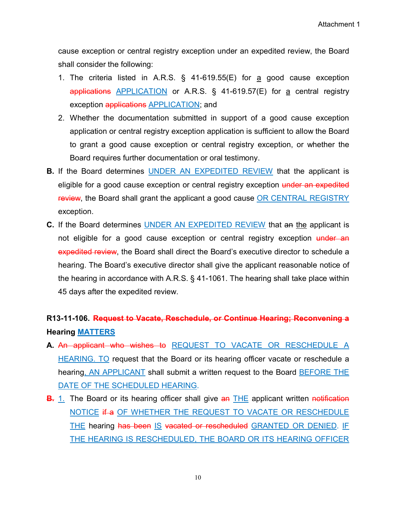cause exception or central registry exception under an expedited review, the Board shall consider the following:

- 1. The criteria listed in A.R.S.  $\S$  41-619.55(E) for a good cause exception applications APPLICATION or A.R.S. § 41-619.57(E) for a central registry exception applications APPLICATION; and
- 2. Whether the documentation submitted in support of a good cause exception application or central registry exception application is sufficient to allow the Board to grant a good cause exception or central registry exception, or whether the Board requires further documentation or oral testimony.
- **B.** If the Board determines UNDER AN EXPEDITED REVIEW that the applicant is eligible for a good cause exception or central registry exception under an expedited review, the Board shall grant the applicant a good cause OR CENTRAL REGISTRY exception.
- **C.** If the Board determines UNDER AN EXPEDITED REVIEW that an the applicant is not eligible for a good cause exception or central registry exception under an expedited review, the Board shall direct the Board's executive director to schedule a hearing. The Board's executive director shall give the applicant reasonable notice of the hearing in accordance with A.R.S. § 41-1061. The hearing shall take place within 45 days after the expedited review.

### **R13-11-106. Request to Vacate, Reschedule, or Continue Hearing; Reconvening a Hearing MATTERS**

- **A.** An applicant who wishes to REQUEST TO VACATE OR RESCHEDULE A HEARING. TO request that the Board or its hearing officer vacate or reschedule a hearing, AN APPLICANT shall submit a written request to the Board BEFORE THE DATE OF THE SCHEDULED HEARING.
- **B.** 1. The Board or its hearing officer shall give an THE applicant written notification NOTICE if a OF WHETHER THE REQUEST TO VACATE OR RESCHEDULE THE hearing has been IS vacated or rescheduled GRANTED OR DENIED. IF THE HEARING IS RESCHEDULED, THE BOARD OR ITS HEARING OFFICER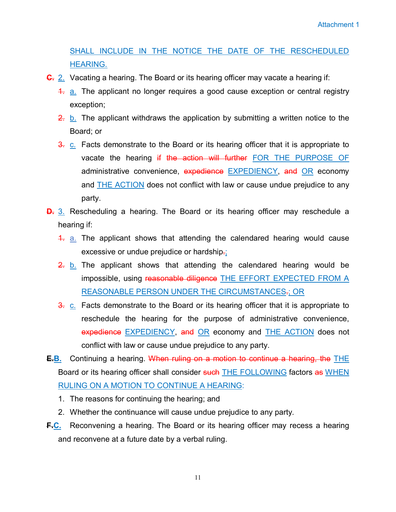SHALL INCLUDE IN THE NOTICE THE DATE OF THE RESCHEDULED HEARING.

- **C.** 2. Vacating a hearing. The Board or its hearing officer may vacate a hearing if:
	- 4. a. The applicant no longer requires a good cause exception or central registry exception;
	- 2. b. The applicant withdraws the application by submitting a written notice to the Board; or
	- 3. c. Facts demonstrate to the Board or its hearing officer that it is appropriate to vacate the hearing if the action will further FOR THE PURPOSE OF administrative convenience, expedience EXPEDIENCY, and OR economy and THE ACTION does not conflict with law or cause undue prejudice to any party.
- **D.** 3. Rescheduling a hearing. The Board or its hearing officer may reschedule a hearing if:
	- 4. a. The applicant shows that attending the calendared hearing would cause excessive or undue prejudice or hardship-;
	- $\frac{2}{2}$  b. The applicant shows that attending the calendared hearing would be impossible, using reasonable diligence THE EFFORT EXPECTED FROM A REASONABLE PERSON UNDER THE CIRCUMSTANCES.; OR
	- 3. c. Facts demonstrate to the Board or its hearing officer that it is appropriate to reschedule the hearing for the purpose of administrative convenience, expedience EXPEDIENCY, and OR economy and THE ACTION does not conflict with law or cause undue prejudice to any party.
- **E.B.** Continuing a hearing. When ruling on a motion to continue a hearing, the THE Board or its hearing officer shall consider such THE FOLLOWING factors as WHEN RULING ON A MOTION TO CONTINUE A HEARING:
	- 1. The reasons for continuing the hearing; and
	- 2. Whether the continuance will cause undue prejudice to any party.
- **F.C.** Reconvening a hearing. The Board or its hearing officer may recess a hearing and reconvene at a future date by a verbal ruling.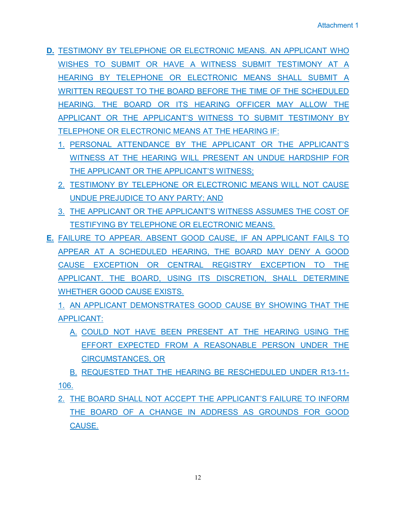- **D.** TESTIMONY BY TELEPHONE OR ELECTRONIC MEANS. AN APPLICANT WHO WISHES TO SUBMIT OR HAVE A WITNESS SUBMIT TESTIMONY AT A HEARING BY TELEPHONE OR ELECTRONIC MEANS SHALL SUBMIT A WRITTEN REQUEST TO THE BOARD BEFORE THE TIME OF THE SCHEDULED HEARING. THE BOARD OR ITS HEARING OFFICER MAY ALLOW THE APPLICANT OR THE APPLICANT'S WITNESS TO SUBMIT TESTIMONY BY TELEPHONE OR ELECTRONIC MEANS AT THE HEARING IF:
	- 1. PERSONAL ATTENDANCE BY THE APPLICANT OR THE APPLICANT'S WITNESS AT THE HEARING WILL PRESENT AN UNDUE HARDSHIP FOR THE APPLICANT OR THE APPLICANT'S WITNESS;
	- 2. TESTIMONY BY TELEPHONE OR ELECTRONIC MEANS WILL NOT CAUSE UNDUE PREJUDICE TO ANY PARTY; AND
	- 3. THE APPLICANT OR THE APPLICANT'S WITNESS ASSUMES THE COST OF TESTIFYING BY TELEPHONE OR ELECTRONIC MEANS.
- **E.** FAILURE TO APPEAR. ABSENT GOOD CAUSE, IF AN APPLICANT FAILS TO APPEAR AT A SCHEDULED HEARING, THE BOARD MAY DENY A GOOD CAUSE EXCEPTION OR CENTRAL REGISTRY EXCEPTION TO THE APPLICANT. THE BOARD, USING ITS DISCRETION, SHALL DETERMINE WHETHER GOOD CAUSE EXISTS.

1. AN APPLICANT DEMONSTRATES GOOD CAUSE BY SHOWING THAT THE APPLICANT:

A. COULD NOT HAVE BEEN PRESENT AT THE HEARING USING THE EFFORT EXPECTED FROM A REASONABLE PERSON UNDER THE CIRCUMSTANCES, OR

B. REQUESTED THAT THE HEARING BE RESCHEDULED UNDER R13-11- 106.

2. THE BOARD SHALL NOT ACCEPT THE APPLICANT'S FAILURE TO INFORM THE BOARD OF A CHANGE IN ADDRESS AS GROUNDS FOR GOOD CAUSE.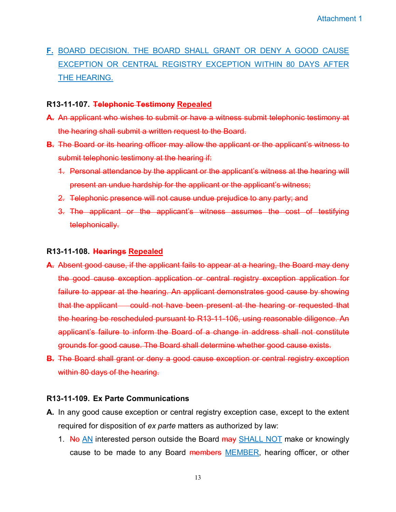**F.** BOARD DECISION. THE BOARD SHALL GRANT OR DENY A GOOD CAUSE EXCEPTION OR CENTRAL REGISTRY EXCEPTION WITHIN 80 DAYS AFTER THE HEARING.

#### **R13-11-107. Telephonic Testimony Repealed**

- **A.** An applicant who wishes to submit or have a witness submit telephonic testimony at the hearing shall submit a written request to the Board.
- **B.** The Board or its hearing officer may allow the applicant or the applicant's witness to submit telephonic testimony at the hearing if:
	- 1. Personal attendance by the applicant or the applicant's witness at the hearing will present an undue hardship for the applicant or the applicant's witness;
	- 2. Telephonic presence will not cause undue prejudice to any party; and
	- 3. The applicant or the applicant's witness assumes the cost of testifying telephonically.

#### **R13-11-108. Hearings Repealed**

- **A.** Absent good cause, if the applicant fails to appear at a hearing, the Board may deny the good cause exception application or central registry exception application for failure to appear at the hearing. An applicant demonstrates good cause by showing that the applicant could not have been present at the hearing or requested that the hearing be rescheduled pursuant to R13-11-106, using reasonable diligence. An applicant's failure to inform the Board of a change in address shall not constitute grounds for good cause. The Board shall determine whether good cause exists.
- **B.** The Board shall grant or deny a good cause exception or central registry exception within 80 days of the hearing.

#### **R13-11-109. Ex Parte Communications**

- **A.** In any good cause exception or central registry exception case, except to the extent required for disposition of *ex parte* matters as authorized by law:
	- 1. No AN interested person outside the Board may SHALL NOT make or knowingly cause to be made to any Board members MEMBER, hearing officer, or other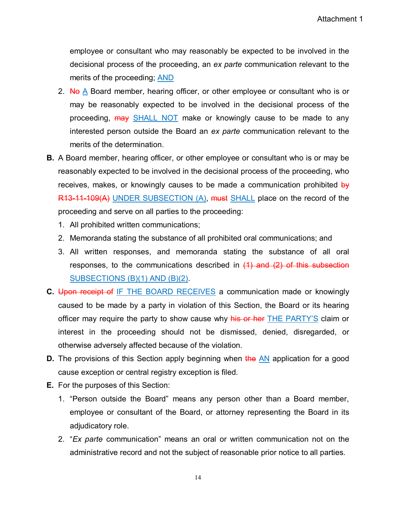employee or consultant who may reasonably be expected to be involved in the decisional process of the proceeding, an *ex parte* communication relevant to the merits of the proceeding; AND

- 2. No A Board member, hearing officer, or other employee or consultant who is or may be reasonably expected to be involved in the decisional process of the proceeding,  $\frac{may}{cd}$  SHALL NOT make or knowingly cause to be made to any interested person outside the Board an *ex parte* communication relevant to the merits of the determination.
- **B.** A Board member, hearing officer, or other employee or consultant who is or may be reasonably expected to be involved in the decisional process of the proceeding, who receives, makes, or knowingly causes to be made a communication prohibited by R13-11-109(A) UNDER SUBSECTION (A), must SHALL place on the record of the proceeding and serve on all parties to the proceeding:
	- 1. All prohibited written communications;
	- 2. Memoranda stating the substance of all prohibited oral communications; and
	- 3. All written responses, and memoranda stating the substance of all oral responses, to the communications described in  $(1)$  and  $(2)$  of this subsection SUBSECTIONS (B)(1) AND (B)(2).
- **C.** Upon receipt of IF THE BOARD RECEIVES a communication made or knowingly caused to be made by a party in violation of this Section, the Board or its hearing officer may require the party to show cause why his or her THE PARTY'S claim or interest in the proceeding should not be dismissed, denied, disregarded, or otherwise adversely affected because of the violation.
- **D.** The provisions of this Section apply beginning when the AN application for a good cause exception or central registry exception is filed.
- **E.** For the purposes of this Section:
	- 1. "Person outside the Board" means any person other than a Board member, employee or consultant of the Board, or attorney representing the Board in its adjudicatory role.
	- 2. "*Ex parte* communication" means an oral or written communication not on the administrative record and not the subject of reasonable prior notice to all parties.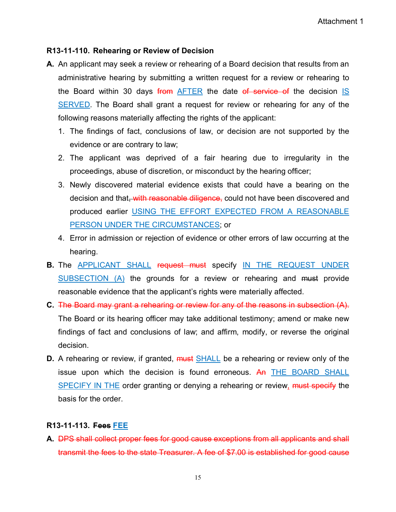#### **R13-11-110. Rehearing or Review of Decision**

- **A.** An applicant may seek a review or rehearing of a Board decision that results from an administrative hearing by submitting a written request for a review or rehearing to the Board within 30 days from AFTER the date of service of the decision IS SERVED. The Board shall grant a request for review or rehearing for any of the following reasons materially affecting the rights of the applicant:
	- 1. The findings of fact, conclusions of law, or decision are not supported by the evidence or are contrary to law;
	- 2. The applicant was deprived of a fair hearing due to irregularity in the proceedings, abuse of discretion, or misconduct by the hearing officer;
	- 3. Newly discovered material evidence exists that could have a bearing on the decision and that, with reasonable diligence, could not have been discovered and produced earlier USING THE EFFORT EXPECTED FROM A REASONABLE PERSON UNDER THE CIRCUMSTANCES; or
	- 4. Error in admission or rejection of evidence or other errors of law occurring at the hearing.
- **B.** The APPLICANT SHALL request must specify IN THE REQUEST UNDER SUBSECTION (A) the grounds for a review or rehearing and must provide reasonable evidence that the applicant's rights were materially affected.
- **C.** The Board may grant a rehearing or review for any of the reasons in subsection (A). The Board or its hearing officer may take additional testimony; amend or make new findings of fact and conclusions of law; and affirm, modify, or reverse the original decision.
- **D.** A rehearing or review, if granted, **must** SHALL be a rehearing or review only of the issue upon which the decision is found erroneous. An THE BOARD SHALL SPECIFY IN THE order granting or denying a rehearing or review, must specify the basis for the order.

#### **R13-11-113. Fees FEE**

**A.** DPS shall collect proper fees for good cause exceptions from all applicants and shall transmit the fees to the state Treasurer. A fee of \$7.00 is established for good cause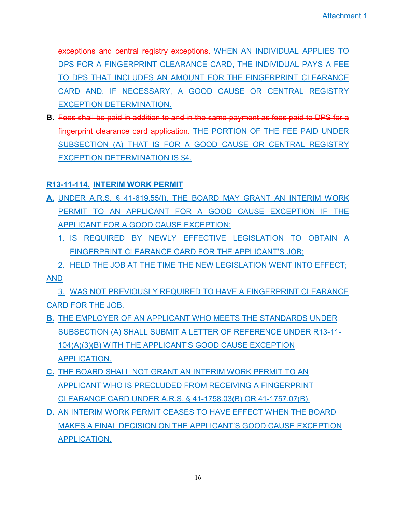exceptions and central registry exceptions. WHEN AN INDIVIDUAL APPLIES TO DPS FOR A FINGERPRINT CLEARANCE CARD, THE INDIVIDUAL PAYS A FEE TO DPS THAT INCLUDES AN AMOUNT FOR THE FINGERPRINT CLEARANCE CARD AND, IF NECESSARY, A GOOD CAUSE OR CENTRAL REGISTRY EXCEPTION DETERMINATION.

**B.** Fees shall be paid in addition to and in the same payment as fees paid to DPS for a fingerprint clearance card application. THE PORTION OF THE FEE PAID UNDER SUBSECTION (A) THAT IS FOR A GOOD CAUSE OR CENTRAL REGISTRY EXCEPTION DETERMINATION IS \$4.

#### **R13-11-114. INTERIM WORK PERMIT**

- **A.** UNDER A.R.S. § 41-619.55(I), THE BOARD MAY GRANT AN INTERIM WORK PERMIT TO AN APPLICANT FOR A GOOD CAUSE EXCEPTION IF THE APPLICANT FOR A GOOD CAUSE EXCEPTION:
	- 1. IS REQUIRED BY NEWLY EFFECTIVE LEGISLATION TO OBTAIN A FINGERPRINT CLEARANCE CARD FOR THE APPLICANT'S JOB;
	- 2. HELD THE JOB AT THE TIME THE NEW LEGISLATION WENT INTO EFFECT;

AND

3. WAS NOT PREVIOUSLY REQUIRED TO HAVE A FINGERPRINT CLEARANCE CARD FOR THE JOB.

- **B.** THE EMPLOYER OF AN APPLICANT WHO MEETS THE STANDARDS UNDER SUBSECTION (A) SHALL SUBMIT A LETTER OF REFERENCE UNDER R13-11- 104(A)(3)(B) WITH THE APPLICANT'S GOOD CAUSE EXCEPTION APPLICATION.
- **C.** THE BOARD SHALL NOT GRANT AN INTERIM WORK PERMIT TO AN APPLICANT WHO IS PRECLUDED FROM RECEIVING A FINGERPRINT CLEARANCE CARD UNDER A.R.S. § 41-1758.03(B) OR 41-1757.07(B).
- **D.** AN INTERIM WORK PERMIT CEASES TO HAVE EFFECT WHEN THE BOARD MAKES A FINAL DECISION ON THE APPLICANT'S GOOD CAUSE EXCEPTION APPLICATION.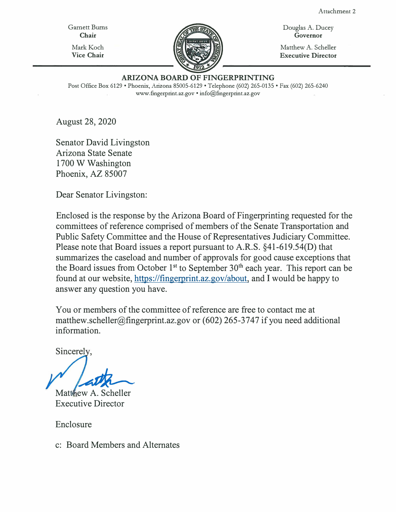Attachrnent 2

Garnett Bums **Chair**  Mark Koch **Vice Chair** 



Douglas A. Ducey **Governor** 

Matthew A. Scheller **Executive Director** 

#### **ARIZONA BOARD OF FINGERPRINTING**

Post Office Box 6129 • Phoenix, Arizona 85005-6129 • Telephone (602) 265-0135 • Fax (602) 265-6240 www.fingerprint.az.gov • info@fingerprint.az.gov

August 28, 2020

Senator David Livingston Arizona State Senate 1700 W Washington Phoenix, AZ 85007

Dear Senator Livingston:

Enclosed is the response by the Arizona Board of Fingerprinting requested for the committees of reference comprised of members of the Senate Transportation and Public Safety Committee and the House of Representatives Judiciary Committee. Please note that Board issues a report pursuant to A.R.S. §41-619.54(D) that summarizes the caseload and number of approvals for good cause exceptions that the Board issues from October 1<sup>st</sup> to September 30<sup>th</sup> each year. This report can be found at our website, https://fingerprint.az.gov/about, and I would be happy to answer any question you have.

You or members of the committee of reference are free to contact me at matthew.scheller@fingerprint.az.gov or (602) 265-3747 if you need additional information.

Sincerely

Matthew A. Scheller Executive Director

Enclosure

c: Board Members and Alternates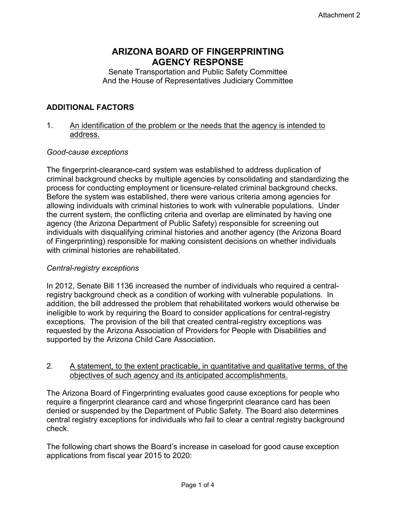### **ARIZONA BOARD OF FINGERPRINTING AGENCY RESPONSE**

Senate Transportation and Public Safety Committee And the House of Representatives Judiciary Committee

#### **ADDITIONAL FACTORS**

1. An identification of the problem or the needs that the agency is intended to address.

#### *Good-cause exceptions*

The fingerprint-clearance-card system was established to address duplication of criminal background checks by multiple agencies by consolidating and standardizing the process for conducting employment or licensure-related criminal background checks. Before the system was established, there were various criteria among agencies for allowing individuals with criminal histories to work with vulnerable populations. Under the current system, the conflicting criteria and overlap are eliminated by having one agency (the Arizona Department of Public Safety) responsible for screening out individuals with disqualifying criminal histories and another agency (the Arizona Board of Fingerprinting) responsible for making consistent decisions on whether individuals with criminal histories are rehabilitated.

#### *Central-registry exceptions*

In 2012, Senate Bill 1136 increased the number of individuals who required a centralregistry background check as a condition of working with vulnerable populations. In addition, the bill addressed the problem that rehabilitated workers would otherwise be ineligible to work by requiring the Board to consider applications for central-registry exceptions. The provision of the bill that created central-registry exceptions was requested by the Arizona Association of Providers for People with Disabilities and supported by the Arizona Child Care Association.

#### 2. A statement, to the extent practicable, in quantitative and qualitative terms, of the objectives of such agency and its anticipated accomplishments.

The Arizona Board of Fingerprinting evaluates good cause exceptions for people who require a fingerprint clearance card and whose fingerprint clearance card has been denied or suspended by the Department of Public Safety. The Board also determines central registry exceptions for individuals who fail to clear a central registry background check.

The following chart shows the Board's increase in caseload for good cause exception applications from fiscal year 2015 to 2020: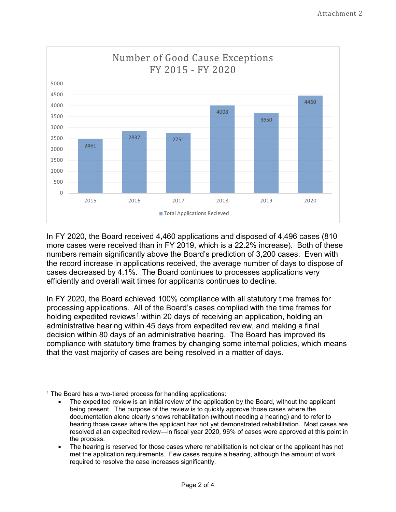

In FY 2020, the Board received 4,460 applications and disposed of 4,496 cases (810 more cases were received than in FY 2019, which is a 22.2% increase). Both of these numbers remain significantly above the Board's prediction of 3,200 cases. Even with the record increase in applications received, the average number of days to dispose of cases decreased by 4.1%. The Board continues to processes applications very efficiently and overall wait times for applicants continues to decline.

In FY 2020, the Board achieved 100% compliance with all statutory time frames for processing applications. All of the Board's cases complied with the time frames for holding expedited reviews<sup>[1](#page-23-0)</sup> within 20 days of receiving an application, holding an administrative hearing within 45 days from expedited review, and making a final decision within 80 days of an administrative hearing. The Board has improved its compliance with statutory time frames by changing some internal policies, which means that the vast majority of cases are being resolved in a matter of days.

<span id="page-23-0"></span><sup>&</sup>lt;sup>1</sup> The Board has a two-tiered process for handling applications:

The expedited review is an initial review of the application by the Board, without the applicant being present. The purpose of the review is to quickly approve those cases where the documentation alone clearly shows rehabilitation (without needing a hearing) and to refer to hearing those cases where the applicant has not yet demonstrated rehabilitation. Most cases are resolved at an expedited review—in fiscal year 2020, 96% of cases were approved at this point in the process.

<sup>•</sup> The hearing is reserved for those cases where rehabilitation is not clear or the applicant has not met the application requirements. Few cases require a hearing, although the amount of work required to resolve the case increases significantly.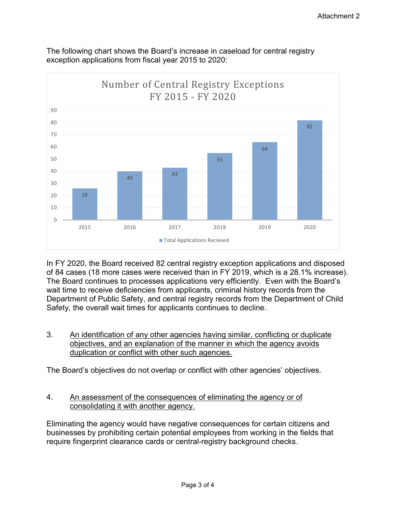

The following chart shows the Board's increase in caseload for central registry exception applications from fiscal year 2015 to 2020:

In FY 2020, the Board received 82 central registry exception applications and disposed of 84 cases (18 more cases were received than in FY 2019, which is a 28.1% increase). The Board continues to processes applications very efficiently. Even with the Board's wait time to receive deficiencies from applicants, criminal history records from the Department of Public Safety, and central registry records from the Department of Child Safety, the overall wait times for applicants continues to decline.

3. An identification of any other agencies having similar, conflicting or duplicate objectives, and an explanation of the manner in which the agency avoids duplication or conflict with other such agencies.

The Board's objectives do not overlap or conflict with other agencies' objectives.

4. An assessment of the consequences of eliminating the agency or of consolidating it with another agency.

Eliminating the agency would have negative consequences for certain citizens and businesses by prohibiting certain potential employees from working in the fields that require fingerprint clearance cards or central-registry background checks.